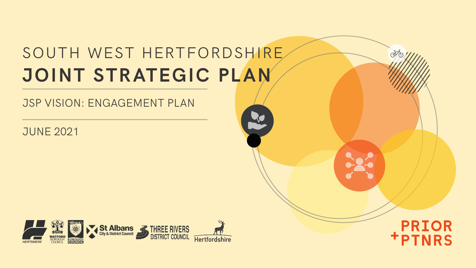# SOUTH WEST HERTFORDSHIRE **JOINT STRATEGIC PLAN**

### JSP VISION: ENGAGEMENT PLAN

JUNE 2021



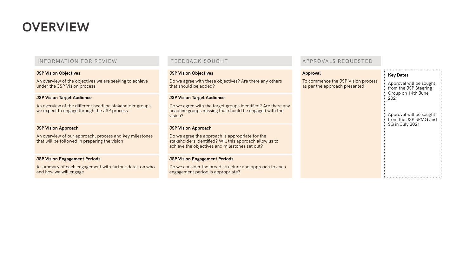### **OVERVIEW**

An overview of the objectives we are seeking to achieve under the JSP Vision process.

#### **JSP Vision Objectives**

### INFORMATION FOR REVIEW

#### **JSP Vision Target Audience**

An overview of the different headline stakeholder groups we expect to engage through the JSP process

#### **JSP Vision Approach**

An overview of our approach, process and key milestones that will be followed in preparing the vision

#### **JSP Vision Engagement Periods**

A summary of each engagement with further detail on who and how we will engage

#### **JSP Vision Objectives**

Do we agree with these objectives? Are there any others that should be added?

### FEEDBACK SOUGHT

#### **JSP Vision Target Audience**

Do we agree with the target groups identified? Are there any headline groups missing that should be engaged with the vision?

#### **JSP Vision Approach**

Do we agree the approach is appropriate for the stakeholders identified? Will this approach allow us to achieve the objectives and milestones set out?

#### **JSP Vision Engagement Periods**

Do we consider the broad structure and approach to each engagement period is appropriate?

#### **Approval**

To commence the as per the appro

| <b>ne JSP Vision process</b> |  |
|------------------------------|--|
| ach presented.               |  |
|                              |  |
|                              |  |

### APPROVALS REQUESTED

| Key Dates                                                                      |
|--------------------------------------------------------------------------------|
| Approval will be sought<br>from the JSP Steering<br>Group on 14th June<br>2021 |
| Approval will be sought<br>from the JSP SPMG and<br>SG in July 2021            |
|                                                                                |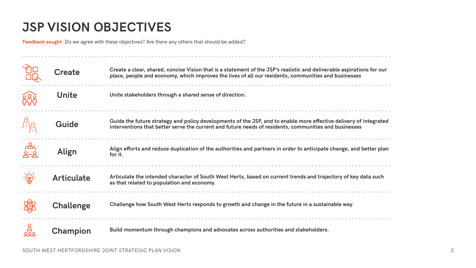| ble aspirations for our<br>businesses       |
|---------------------------------------------|
| i.                                          |
| $\frac{1}{2}$                               |
| delivery of integrated<br><b>businesses</b> |
| .                                           |
| hange, and better plan                      |
| .                                           |
| tory of key data such                       |
| .                                           |
| able way.                                   |
| .                                           |

## **JSP VISION OBJECTIVES**

|               | <b>Create</b>     | Create a clear, shared, concise Vision that is a statement of the JSP's realistic and deliverable aspirations for our<br>place, people and economy, which improves the lives of all our residents, communities and businesses |
|---------------|-------------------|-------------------------------------------------------------------------------------------------------------------------------------------------------------------------------------------------------------------------------|
|               | Unite             | Unite stakeholders through a shared sense of direction.                                                                                                                                                                       |
|               | Guide             | Guide the future strategy and policy developments of the JSP, and to enable more effective delivery of integrated<br>interventions that better serve the current and future needs of residents, communities and businesses    |
| $\frac{2}{2}$ | <b>Align</b>      | Align efforts and reduce duplication of the authorities and partners in order to anticipate change, and better plan<br>for it.                                                                                                |
|               | <b>Articulate</b> | Articulate the intended character of South West Herts, based on current trends and trajectory of key data such<br>as that related to population and economy.                                                                  |
|               | <b>Challenge</b>  | Challenge how South West Herts responds to growth and change in the future in a sustainable way.                                                                                                                              |
| 25            | <b>Champion</b>   | Build momentum through champions and advocates across authorities and stakeholders.                                                                                                                                           |

. . . . . . . . . . . . . . . . . . . .

**Feedback sought**: Do we agree with these objectives? Are there any others that should be added?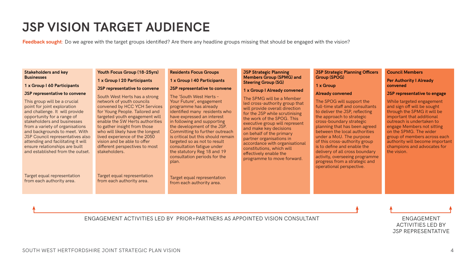### **JSP VISION TARGET AUDIENCE**

#### **Stakeholders and key Businesses**

#### **1 x Group I 60 Participants**

#### **JSP representative to convene**

This group will be a crucial point for joint exploration and challenge. It will provide opportunity for a range of stakeholders and businesses from a variety of organisations and backgrounds to meet. With JSP Council representatives also attending and facilitating it will ensure relationships are built and established from the outset.

Target equal representation from each authority area.

**Youth Focus Group (18-25yrs)**

**1 x Group I 20 Participants JSP representative to convene** South West Herts has a strong network of youth councils convened by HCC YCH Services for Young People. Tailored and targeted youth engagement will enable the SW Herts authorities to gather insight from those who will likely have the longest lived experience of the 2050 vision and be able to offer different perspectives to most stakeholders.

Target equal representation from each authority area.

#### **Residents Focus Groups**

### **1 x Group I 40 Participants**

#### **JSP representative to convene**

The 'South West Herts – Your Future', engagement programme has already identified many residents who have expressed an interest in following and supporting the development of the JSP. Committing to further outreach is critical but this should remain targeted so as not to result consultation fatigue under the statutory Reg 18 and 19 consultation periods for the plan.

Target equal representation from each authority area.

#### **JSP Strategic Planning Members Group (SPMG) and Steering Group (SG)**

#### **1 x Group I Already convened**

The SPMG will be a Member led cross-authority group that will provide overall direction for the JSP while scrutinising the work of the SPOG. This executive group will represent and make key decisions on behalf of the primary partner organisations in accordance with organisational constitutions, which will effectively enable the programme to move forward.

#### **JSP Strategic Planning Officers Group (SPOG)**

**1 x Group** 

### **Already convened**

The SPOG will support the full-time staff and consultants to deliver the JSP, reflecting the approach to strategic cross-boundary strategic planning that has been agreed between the local authorities under a MoU. The purpose of this cross-authority group is to define and enable the delivery of all cross boundary activity, overseeing programme progress from a strategic and operational perspective.

#### **Council Members**

#### **Per Authority I Already convened**

#### **JSP representative to engage**

While targeted engagement and sign off will be sought through the SPMG it will be important that additional outreach is undertaken to engage Members not sitting on the SPMG. The wider group of members across each authority will become important champions and advocates for the vision.

ENGAGEMENT ACTIVITIES LED BY PRIOR+PARTNERS AS APPOINTED VISION CONSULTANT ENGAGEMENT

ACTIVITIES LED BY JSP REPRESENTATIVE

**Feedback sought**: Do we agree with the target groups identified? Are there any headline groups missing that should be engaged with the vision?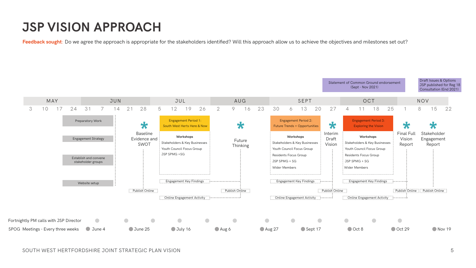SOUTH WEST HERTFORDSHIRE JOINT STRATEGIC PLAN VISION 5

### **JSP VISION APPROACH**

Feedback sought: Do we agree the approach is appropriate for the stakeholders identified? Will this approach allow us to achieve the objectives and milestones set out?